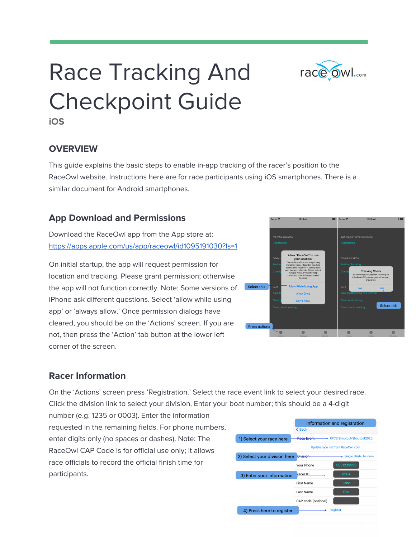

# Race Tracking And Checkpoint Guide

**iOS**

#### **OVERVIEW**

This guide explains the basic steps to enable in-app tracking of the racer's position to the RaceOwl website. Instructions here are for race participants using iOS smartphones. There is a similar document for Android smartphones.

#### **App Download and Permissions**

Download the RaceOwl app from the App store at: <https://apps.apple.com/us/app/raceowl/id1095191030?ls=1>

On initial startup, the app will request permission for location and tracking. Please grant permission; otherwise the app will not function correctly. Note: Some versions of iPhone ask different questions. Select 'allow while using app' or 'always allow.' Once permission dialogs have cleared, you should be on the 'Actions' screen. If you are not, then press the 'Action' tab button at the lower left corner of the screen.



#### **Racer Information**

On the 'Actions' screen press 'Registration.' Select the race event link to select your desired race. Click the division link to select your division. Enter your boat number; this should be a 4-digit

number (e.g. 1235 or 0003). Enter the information requested in the remaining fields. For phone numbers, enter digits only (no spaces or dashes). Note: The RaceOwl CAP Code is for official use only; it allows race officials to record the official finish time for participants.

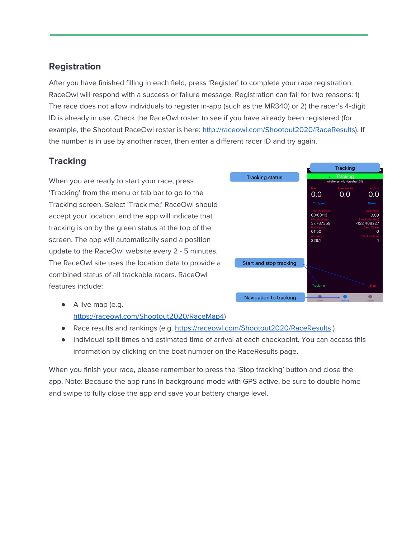# **Registration**

After you have finished filling in each field, press 'Register' to complete your race registration. RaceOwl will respond with a success or failure message. Registration can fail for two reasons: 1) The race does not allow individuals to register in-app (such as the MR340) or 2) the racer's 4-digit ID is already in use. Check the RaceOwl roster to see if you have already been registered (for example, the Shootout RaceOwl roster is here: [http://raceowl.com/Shootout2020/RaceResults\)](http://raceowl.com/Shootout2020/RaceResults). If the number is in use by another racer, then enter a different racer ID and try again.

# **Tracking**

When you are ready to start your race, press 'Tracking' from the menu or tab bar to go to the Tracking screen. Select 'Track me;' RaceOwl should accept your location, and the app will indicate that tracking is on by the green status at the top of the screen. The app will automatically send a position update to the RaceOwl website every 2 - 5 minutes. The RaceOwl site uses the location data to provide a combined status of all trackable racers. RaceOwl features include:



- A live map (e.g. [https://raceowl.com/Shootout2020/RaceMap4\)](https://raceowl.com/Shootout2020/RaceMap4)
- Race results and rankings (e.g. <https://raceowl.com/Shootout2020/RaceResults>)
- Individual split times and estimated time of arrival at each checkpoint. You can access this information by clicking on the boat number on the RaceResults page.

When you finish your race, please remember to press the 'Stop tracking' button and close the app. Note: Because the app runs in background mode with GPS active, be sure to double-home and swipe to fully close the app and save your battery charge level.